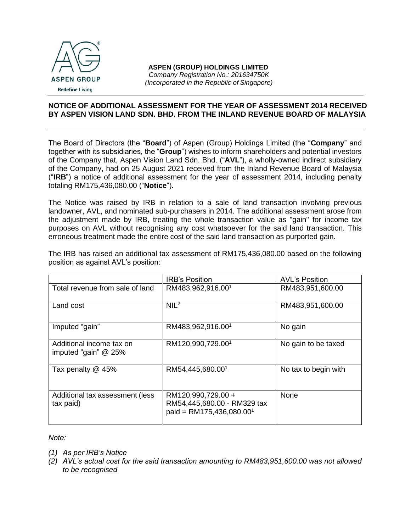

## **NOTICE OF ADDITIONAL ASSESSMENT FOR THE YEAR OF ASSESSMENT 2014 RECEIVED BY ASPEN VISION LAND SDN. BHD. FROM THE INLAND REVENUE BOARD OF MALAYSIA**

The Board of Directors (the "**Board**") of Aspen (Group) Holdings Limited (the "**Company**" and together with its subsidiaries, the "**Group**") wishes to inform shareholders and potential investors of the Company that, Aspen Vision Land Sdn. Bhd. ("**AVL**"), a wholly-owned indirect subsidiary of the Company, had on 25 August 2021 received from the Inland Revenue Board of Malaysia ("**IRB**") a notice of additional assessment for the year of assessment 2014, including penalty totaling RM175,436,080.00 ("**Notice**").

The Notice was raised by IRB in relation to a sale of land transaction involving previous landowner, AVL, and nominated sub-purchasers in 2014. The additional assessment arose from the adjustment made by IRB, treating the whole transaction value as "gain" for income tax purposes on AVL without recognising any cost whatsoever for the said land transaction. This erroneous treatment made the entire cost of the said land transaction as purported gain.

The IRB has raised an additional tax assessment of RM175,436,080.00 based on the following position as against AVL's position:

|                                                    | <b>IRB's Position</b>                                                                     | <b>AVL's Position</b> |
|----------------------------------------------------|-------------------------------------------------------------------------------------------|-----------------------|
| Total revenue from sale of land                    | RM483,962,916.001                                                                         | RM483,951,600.00      |
| Land cost                                          | NIL <sup>2</sup>                                                                          | RM483,951,600.00      |
| Imputed "gain"                                     | RM483,962,916.001                                                                         | No gain               |
| Additional income tax on<br>imputed "gain" $@$ 25% | RM120,990,729.001                                                                         | No gain to be taxed   |
| Tax penalty @ 45%                                  | RM54,445,680.001                                                                          | No tax to begin with  |
| Additional tax assessment (less<br>tax paid)       | RM120,990,729.00 +<br>RM54,445,680.00 - RM329 tax<br>paid = RM175,436,080.00 <sup>1</sup> | None                  |

*Note:*

- *(1) As per IRB's Notice*
- *(2) AVL's actual cost for the said transaction amounting to RM483,951,600.00 was not allowed to be recognised*